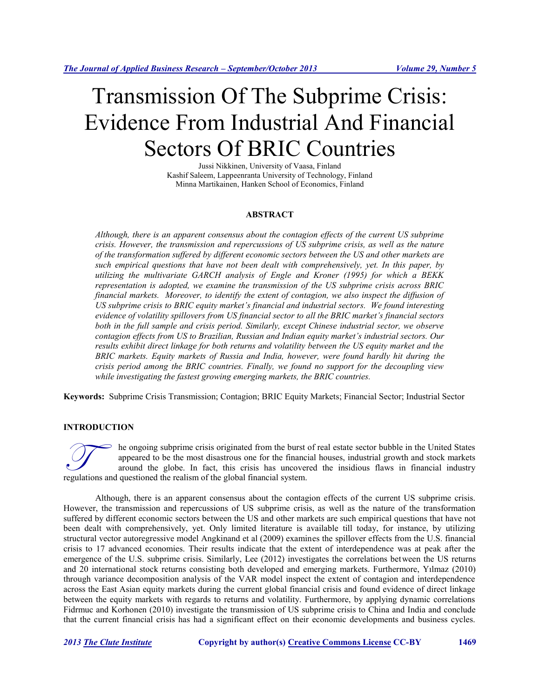# Transmission Of The Subprime Crisis: Evidence From Industrial And Financial Sectors Of BRIC Countries

Jussi Nikkinen, University of Vaasa, Finland Kashif Saleem, Lappeenranta University of Technology, Finland Minna Martikainen, Hanken School of Economics, Finland

### **ABSTRACT**

*Although, there is an apparent consensus about the contagion effects of the current US subprime crisis. However, the transmission and repercussions of US subprime crisis, as well as the nature of the transformation suffered by different economic sectors between the US and other markets are such empirical questions that have not been dealt with comprehensively, yet. In this paper, by utilizing the multivariate GARCH analysis of Engle and Kroner (1995) for which a BEKK representation is adopted, we examine the transmission of the US subprime crisis across BRIC financial markets. Moreover, to identify the extent of contagion, we also inspect the diffusion of US subprime crisis to BRIC equity market's financial and industrial sectors. We found interesting evidence of volatility spillovers from US financial sector to all the BRIC market's financial sectors both in the full sample and crisis period. Similarly, except Chinese industrial sector, we observe contagion effects from US to Brazilian, Russian and Indian equity market's industrial sectors. Our results exhibit direct linkage for both returns and volatility between the US equity market and the BRIC markets. Equity markets of Russia and India, however, were found hardly hit during the crisis period among the BRIC countries. Finally, we found no support for the decoupling view while investigating the fastest growing emerging markets, the BRIC countries.*

**Keywords:** Subprime Crisis Transmission; Contagion; BRIC Equity Markets; Financial Sector; Industrial Sector

# **INTRODUCTION**

he ongoing subprime crisis originated from the burst of real estate sector bubble in the United States appeared to be the most disastrous one for the financial houses, industrial growth and stock markets around the globe. In fact, this crisis has uncovered the insidious flaws in financial industry The ongoing subprime crisis originated from the burst<br>appeared to be the most disastrous one for the financial<br>around the globe. In fact, this crisis has uncover<br>regulations and questioned the realism of the global financi

Although, there is an apparent consensus about the contagion effects of the current US subprime crisis. However, the transmission and repercussions of US subprime crisis, as well as the nature of the transformation suffered by different economic sectors between the US and other markets are such empirical questions that have not been dealt with comprehensively, yet. Only limited literature is available till today, for instance, by utilizing structural vector autoregressive model Angkinand et al (2009) examines the spillover effects from the U.S. financial crisis to 17 advanced economies. Their results indicate that the extent of interdependence was at peak after the emergence of the U.S. subprime crisis. Similarly, Lee (2012) investigates the correlations between the US returns and 20 international stock returns consisting both developed and emerging markets. Furthermore, Yılmaz (2010) through variance decomposition analysis of the VAR model inspect the extent of contagion and interdependence across the East Asian equity markets during the current global financial crisis and found evidence of direct linkage between the equity markets with regards to returns and volatility. Furthermore, by applying dynamic correlations Fidrmuc and Korhonen (2010) investigate the transmission of US subprime crisis to China and India and conclude that the current financial crisis has had a significant effect on their economic developments and business cycles.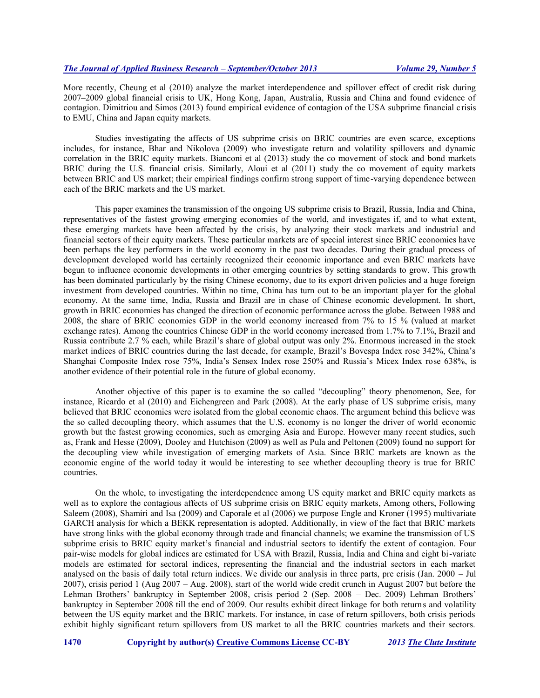More recently, Cheung et al (2010) analyze the market interdependence and spillover effect of credit risk during 2007–2009 global financial crisis to UK, Hong Kong, Japan, Australia, Russia and China and found evidence of contagion. Dimitriou and Simos (2013) found empirical evidence of contagion of the USA subprime financial crisis to EMU, China and Japan equity markets.

Studies investigating the affects of US subprime crisis on BRIC countries are even scarce, exceptions includes, for instance, Bhar and Nikolova (2009) who investigate return and volatility spillovers and dynamic correlation in the BRIC equity markets. Bianconi et al (2013) study the co movement of stock and bond markets BRIC during the U.S. financial crisis. Similarly, Aloui et al (2011) study the co movement of equity markets between BRIC and US market; their empirical findings confirm strong support of time-varying dependence between each of the BRIC markets and the US market.

This paper examines the transmission of the ongoing US subprime crisis to Brazil, Russia, India and China, representatives of the fastest growing emerging economies of the world, and investigates if, and to what extent, these emerging markets have been affected by the crisis, by analyzing their stock markets and industrial and financial sectors of their equity markets. These particular markets are of special interest since BRIC economies have been perhaps the key performers in the world economy in the past two decades. During their gradual process of development developed world has certainly recognized their economic importance and even BRIC markets have begun to influence economic developments in other emerging countries by setting standards to grow. This growth has been dominated particularly by the rising Chinese economy, due to its export driven policies and a huge foreign investment from developed countries. Within no time, China has turn out to be an important player for the global economy. At the same time, India, Russia and Brazil are in chase of Chinese economic development. In short, growth in BRIC economies has changed the direction of economic performance across the globe. Between 1988 and 2008, the share of BRIC economies GDP in the world economy increased from 7% to 15 % (valued at market exchange rates). Among the countries Chinese GDP in the world economy increased from 1.7% to 7.1%, Brazil and Russia contribute 2.7 % each, while Brazil's share of global output was only 2%. Enormous increased in the stock market indices of BRIC countries during the last decade, for example, Brazil's Bovespa Index rose 342%, China's Shanghai Composite Index rose 75%, India's Sensex Index rose 250% and Russia's Micex Index rose 638%, is another evidence of their potential role in the future of global economy.

Another objective of this paper is to examine the so called "decoupling" theory phenomenon, See, for instance, Ricardo et al (2010) and Eichengreen and Park (2008). At the early phase of US subprime crisis, many believed that BRIC economies were isolated from the global economic chaos. The argument behind this believe was the so called decoupling theory, which assumes that the U.S. economy is no longer the driver of world economic growth but the fastest growing economies, such as emerging Asia and Europe. However many recent studies, such as, Frank and Hesse (2009), Dooley and Hutchison (2009) as well as Pula and Peltonen (2009) found no support for the decoupling view while investigation of emerging markets of Asia. Since BRIC markets are known as the economic engine of the world today it would be interesting to see whether decoupling theory is true for BRIC countries.

On the whole, to investigating the interdependence among US equity market and BRIC equity markets as well as to explore the contagious affects of US subprime crisis on BRIC equity markets, Among others, Following Saleem (2008), Shamiri and Isa (2009) and Caporale et al (2006) we purpose Engle and Kroner (1995) multivariate GARCH analysis for which a BEKK representation is adopted. Additionally, in view of the fact that BRIC markets have strong links with the global economy through trade and financial channels; we examine the transmission of US subprime crisis to BRIC equity market's financial and industrial sectors to identify the extent of contagion. Four pair-wise models for global indices are estimated for USA with Brazil, Russia, India and China and eight bi-variate models are estimated for sectoral indices, representing the financial and the industrial sectors in each market analysed on the basis of daily total return indices. We divide our analysis in three parts, pre crisis (Jan. 2000 – Jul 2007), crisis period 1 (Aug 2007 – Aug. 2008), start of the world wide credit crunch in August 2007 but before the Lehman Brothers' bankruptcy in September 2008, crisis period 2 (Sep. 2008 – Dec. 2009) Lehman Brothers' bankruptcy in September 2008 till the end of 2009. Our results exhibit direct linkage for both returns and volatility between the US equity market and the BRIC markets. For instance, in case of return spillovers, both crisis periods exhibit highly significant return spillovers from US market to all the BRIC countries markets and their sectors.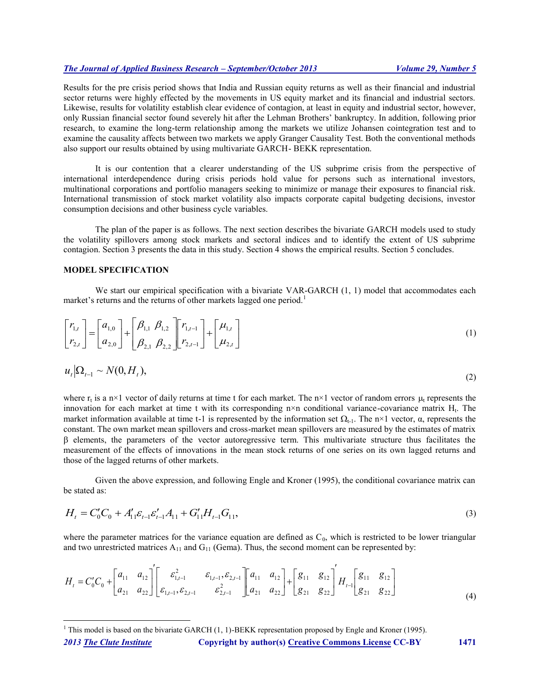Results for the pre crisis period shows that India and Russian equity returns as well as their financial and industrial sector returns were highly effected by the movements in US equity market and its financial and industrial sectors. Likewise, results for volatility establish clear evidence of contagion, at least in equity and industrial sector, however, only Russian financial sector found severely hit after the Lehman Brothers' bankruptcy. In addition, following prior research, to examine the long-term relationship among the markets we utilize Johansen cointegration test and to examine the causality affects between two markets we apply Granger Causality Test. Both the conventional methods also support our results obtained by using multivariate GARCH- BEKK representation.

It is our contention that a clearer understanding of the US subprime crisis from the perspective of international interdependence during crisis periods hold value for persons such as international investors, multinational corporations and portfolio managers seeking to minimize or manage their exposures to financial risk. International transmission of stock market volatility also impacts corporate capital budgeting decisions, investor consumption decisions and other business cycle variables.

The plan of the paper is as follows. The next section describes the bivariate GARCH models used to study the volatility spillovers among stock markets and sectoral indices and to identify the extent of US subprime contagion. Section 3 presents the data in this study. Section 4 shows the empirical results. Section 5 concludes.

#### **MODEL SPECIFICATION**

We start our empirical specification with a bivariate VAR-GARCH  $(1, 1)$  model that accommodates each market's returns and the returns of other markets lagged one period.<sup>1</sup>

$$
\begin{bmatrix} r_{1,t} \\ r_{2,t} \end{bmatrix} = \begin{bmatrix} a_{1,0} \\ a_{2,0} \end{bmatrix} + \begin{bmatrix} \beta_{1,1} & \beta_{1,2} \\ \beta_{2,1} & \beta_{2,2} \end{bmatrix} \begin{bmatrix} r_{1,t-1} \\ r_{2,t-1} \end{bmatrix} + \begin{bmatrix} \mu_{1,t} \\ \mu_{2,t} \end{bmatrix}
$$
 (1)

$$
u_t \big| \Omega_{t-1} \sim N(0, H_t), \tag{2}
$$

where  $r_t$  is a n×1 vector of daily returns at time t for each market. The n×1 vector of random errors  $\mu_t$  represents the innovation for each market at time t with its corresponding  $n \times n$  conditional variance-covariance matrix  $H_t$ . The market information available at time t-1 is represented by the information set  $\Omega_{t-1}$ . The n×1 vector,  $\alpha$ , represents the constant. The own market mean spillovers and cross-market mean spillovers are measured by the estimates of matrix  $\beta$  elements, the parameters of the vector autoregressive term. This multivariate structure thus facilitates the measurement of the effects of innovations in the mean stock returns of one series on its own lagged returns and those of the lagged returns of other markets.

Given the above expression, and following Engle and Kroner (1995), the conditional covariance matrix can be stated as:

$$
H_t = C'_0 C_0 + A'_{11} \varepsilon_{t-1} \varepsilon'_{t-1} A_{11} + G'_{11} H_{t-1} G_{11},
$$
\n(3)

where the parameter matrices for the variance equation are defined as  $C_0$ , which is restricted to be lower triangular and two unrestricted matrices  $A_{11}$  and  $G_{11}$  (Gema). Thus, the second moment can be represented by:

$$
H_{t} = C'_{0}C_{0} + \begin{bmatrix} a_{11} & a_{12} \\ a_{21} & a_{22} \end{bmatrix} \begin{bmatrix} \varepsilon_{1,t-1}^{2} & \varepsilon_{1,t-1}, \varepsilon_{2,t-1} \\ \varepsilon_{1,t-1}, \varepsilon_{2,t-1} & \varepsilon_{2,t-1}^{2} \end{bmatrix} \begin{bmatrix} a_{11} & a_{12} \\ a_{21} & a_{22} \end{bmatrix} + \begin{bmatrix} g_{11} & g_{12} \\ g_{21} & g_{22} \end{bmatrix} \begin{bmatrix} g_{11} & g_{12} \\ g_{21} & g_{22} \end{bmatrix}
$$
(4)

 $\overline{a}$ 

<sup>&</sup>lt;sup>1</sup> This model is based on the bivariate GARCH  $(1, 1)$ -BEKK representation proposed by Engle and Kroner (1995).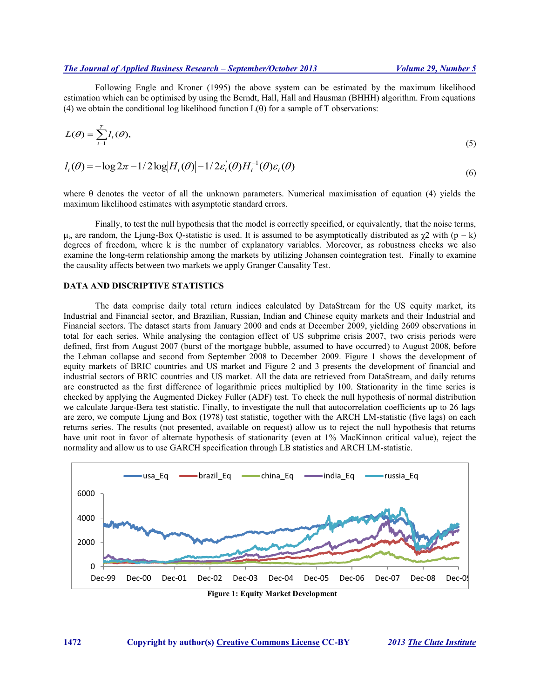Following Engle and Kroner (1995) the above system can be estimated by the maximum likelihood estimation which can be optimised by using the Berndt, Hall, Hall and Hausman (BHHH) algorithm. From equations (4) we obtain the conditional log likelihood function  $L(\theta)$  for a sample of T observations:

$$
L(\theta) = \sum_{t=1}^{T} l_t(\theta), \tag{5}
$$

$$
l_t(\theta) = -\log 2\pi - 1/2 \log |H_t(\theta)| - 1/2 \varepsilon_t(\theta) H_t^{-1}(\theta) \varepsilon_t(\theta)
$$
\n<sup>(6)</sup>

where  $\theta$  denotes the vector of all the unknown parameters. Numerical maximisation of equation (4) yields the maximum likelihood estimates with asymptotic standard errors.

Finally, to test the null hypothesis that the model is correctly specified, or equivalently, that the noise terms,  $\mu$ , are random, the Ljung-Box Q-statistic is used. It is assumed to be asymptotically distributed as  $\chi$ 2 with (p – k) degrees of freedom, where k is the number of explanatory variables. Moreover, as robustness checks we also examine the long-term relationship among the markets by utilizing Johansen cointegration test. Finally to examine the causality affects between two markets we apply Granger Causality Test.

# **DATA AND DISCRIPTIVE STATISTICS**

The data comprise daily total return indices calculated by DataStream for the US equity market, its Industrial and Financial sector, and Brazilian, Russian, Indian and Chinese equity markets and their Industrial and Financial sectors. The dataset starts from January 2000 and ends at December 2009, yielding 2609 observations in total for each series. While analysing the contagion effect of US subprime crisis 2007, two crisis periods were defined, first from August 2007 (burst of the mortgage bubble, assumed to have occurred) to August 2008, before the Lehman collapse and second from September 2008 to December 2009. Figure 1 shows the development of equity markets of BRIC countries and US market and Figure 2 and 3 presents the development of financial and industrial sectors of BRIC countries and US market. All the data are retrieved from DataStream, and daily returns are constructed as the first difference of logarithmic prices multiplied by 100. Stationarity in the time series is checked by applying the Augmented Dickey Fuller (ADF) test. To check the null hypothesis of normal distribution we calculate Jarque-Bera test statistic. Finally, to investigate the null that autocorrelation coefficients up to 26 lags are zero, we compute Ljung and Box (1978) test statistic, together with the ARCH LM-statistic (five lags) on each returns series. The results (not presented, available on request) allow us to reject the null hypothesis that returns have unit root in favor of alternate hypothesis of stationarity (even at 1% MacKinnon critical value), reject the normality and allow us to use GARCH specification through LB statistics and ARCH LM-statistic.



**Figure 1: Equity Market Development**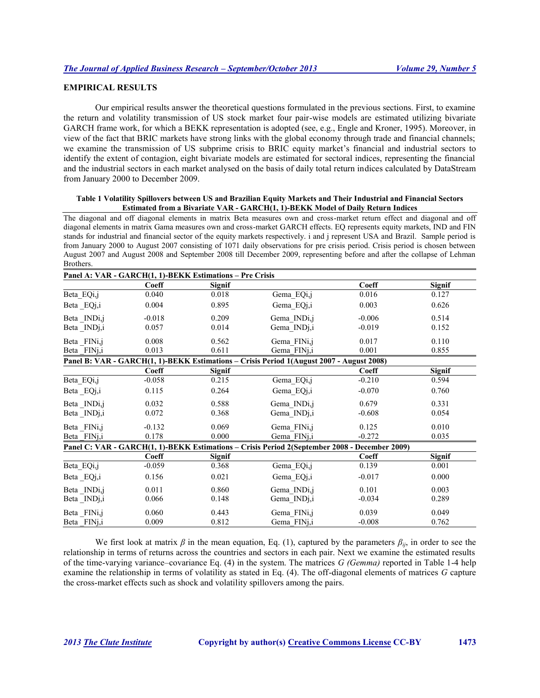# **EMPIRICAL RESULTS**

Our empirical results answer the theoretical questions formulated in the previous sections. First, to examine the return and volatility transmission of US stock market four pair-wise models are estimated utilizing bivariate GARCH frame work, for which a BEKK representation is adopted (see, e.g., Engle and Kroner, 1995). Moreover, in view of the fact that BRIC markets have strong links with the global economy through trade and financial channels; we examine the transmission of US subprime crisis to BRIC equity market's financial and industrial sectors to identify the extent of contagion, eight bivariate models are estimated for sectoral indices, representing the financial and the industrial sectors in each market analysed on the basis of daily total return indices calculated by DataStream from January 2000 to December 2009.

#### **Table 1 Volatility Spillovers between US and Brazilian Equity Markets and Their Industrial and Financial Sectors Estimated from a Bivariate VAR - GARCH(1, 1)-BEKK Model of Daily Return Indices**

The diagonal and off diagonal elements in matrix Beta measures own and cross-market return effect and diagonal and off diagonal elements in matrix Gama measures own and cross-market GARCH effects. EQ represents equity markets, IND and FIN stands for industrial and financial sector of the equity markets respectively. i and j represent USA and Brazil. Sample period is from January 2000 to August 2007 consisting of 1071 daily observations for pre crisis period. Crisis period is chosen between August 2007 and August 2008 and September 2008 till December 2009, representing before and after the collapse of Lehman Brothers.

|                          | Panel A: VAR - GARCH(1, 1)-BEKK Estimations - Pre Crisis |               |                                                                                               |          |               |
|--------------------------|----------------------------------------------------------|---------------|-----------------------------------------------------------------------------------------------|----------|---------------|
|                          | Coeff                                                    | <b>Signif</b> |                                                                                               | Coeff    | <b>Signif</b> |
| Beta EQi,j               | 0.040                                                    | 0.018         | Gema EQi,j                                                                                    | 0.016    | 0.127         |
| Beta EQj,i               | 0.004                                                    | 0.895         | Gema EQj,i                                                                                    | 0.003    | 0.626         |
| Beta_INDi,j              | $-0.018$                                                 | 0.209         | Gema INDi,j                                                                                   | $-0.006$ | 0.514         |
| Beta INDj,i              | 0.057                                                    | 0.014         | Gema IND <sub>1</sub> ,i                                                                      | $-0.019$ | 0.152         |
| Beta FINi,j              | 0.008                                                    | 0.562         | Gema FINi,j                                                                                   | 0.017    | 0.110         |
| Beta FINj,i              | 0.013                                                    | 0.611         | Gema FINj,i                                                                                   | 0.001    | 0.855         |
|                          |                                                          |               | Panel B: VAR - GARCH(1, 1)-BEKK Estimations – Crisis Period 1(August 2007 - August 2008)      |          |               |
|                          | Coeff                                                    | <b>Signif</b> |                                                                                               | Coeff    | Signif        |
| Beta_EQi,j               | $-0.058$                                                 | 0.215         | Gema_EQi,j                                                                                    | $-0.210$ | 0.594         |
| Beta EQj,i               | 0.115                                                    | 0.264         | Gema EQj,i                                                                                    | $-0.070$ | 0.760         |
| Beta INDi,j              | 0.032                                                    | 0.588         | Gema INDi,j                                                                                   | 0.679    | 0.331         |
| Beta INDj,i              | 0.072                                                    | 0.368         | Gema INDj,i                                                                                   | $-0.608$ | 0.054         |
| Beta FIN <sub>i,j</sub>  | $-0.132$                                                 | 0.069         | Gema FINi,j                                                                                   | 0.125    | 0.010         |
| Beta FIN <sub>1</sub> ,i | 0.178                                                    | 0.000         | Gema FINj,i                                                                                   | $-0.272$ | 0.035         |
|                          |                                                          |               | Panel C: VAR - GARCH(1, 1)-BEKK Estimations - Crisis Period 2(September 2008 - December 2009) |          |               |
|                          | Coeff                                                    | <b>Signif</b> |                                                                                               | Coeff    | Signif        |
| Beta EQi,j               | $-0.059$                                                 | 0.368         | Gema EQi,j                                                                                    | 0.139    | 0.001         |
| Beta _EQj,i              | 0.156                                                    | 0.021         | Gema EQj,i                                                                                    | $-0.017$ | 0.000         |
| Beta_INDi,j              | 0.011                                                    | 0.860         | Gema INDi,j                                                                                   | 0.101    | 0.003         |
| Beta INDj,i              | 0.066                                                    | 0.148         | Gema INDj,i                                                                                   | $-0.034$ | 0.289         |
| Beta FINi,j              | 0.060                                                    | 0.443         | Gema FINi,j                                                                                   | 0.039    | 0.049         |
| Beta FINj,i              | 0.009                                                    | 0.812         | Gema FINj,i                                                                                   | $-0.008$ | 0.762         |

We first look at matrix  $\beta$  in the mean equation, Eq. (1), captured by the parameters  $\beta_{ij}$ , in order to see the relationship in terms of returns across the countries and sectors in each pair. Next we examine the estimated results of the time-varying variance–covariance Eq. (4) in the system. The matrices *G (Gemma)* reported in Table 1-4 help examine the relationship in terms of volatility as stated in Eq. (4). The off-diagonal elements of matrices *G* capture the cross-market effects such as shock and volatility spillovers among the pairs.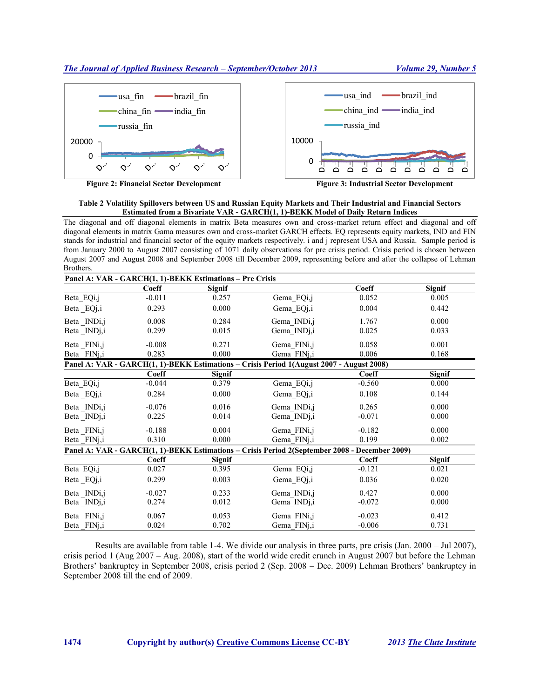

**Figure 2: Financial Sector Development Figure 3: Industrial Sector Development**

# **Table 2 Volatility Spillovers between US and Russian Equity Markets and Their Industrial and Financial Sectors Estimated from a Bivariate VAR - GARCH(1, 1)-BEKK Model of Daily Return Indices**

The diagonal and off diagonal elements in matrix Beta measures own and cross-market return effect and diagonal and off diagonal elements in matrix Gama measures own and cross-market GARCH effects. EQ represents equity markets, IND and FIN stands for industrial and financial sector of the equity markets respectively. i and j represent USA and Russia. Sample period is from January 2000 to August 2007 consisting of 1071 daily observations for pre crisis period. Crisis period is chosen between August 2007 and August 2008 and September 2008 till December 2009, representing before and after the collapse of Lehman Brothers.

|                         |              | Panel A: VAR - GARCH(1, 1)-BEKK Estimations - Pre Crisis |                                                                                               |              |               |
|-------------------------|--------------|----------------------------------------------------------|-----------------------------------------------------------------------------------------------|--------------|---------------|
|                         | Coeff        | Signif                                                   |                                                                                               | <b>Coeff</b> | <b>Signif</b> |
| Beta EQi,j              | $-0.011$     | 0.257                                                    | Gema EQi,j                                                                                    | 0.052        | 0.005         |
| Beta EQj,i              | 0.293        | 0.000                                                    | Gema EQj,i                                                                                    | 0.004        | 0.442         |
| Beta INDi,j             | 0.008        | 0.284                                                    | Gema INDi,j                                                                                   | 1.767        | 0.000         |
| Beta INDj,i             | 0.299        | 0.015                                                    | Gema INDj,i                                                                                   | 0.025        | 0.033         |
| Beta FINi,j             | $-0.008$     | 0.271                                                    | Gema_FINi,j                                                                                   | 0.058        | 0.001         |
| Beta FINj,i             | 0.283        | 0.000                                                    | Gema FINj,i                                                                                   | 0.006        | 0.168         |
|                         |              |                                                          | Panel A: VAR - GARCH(1, 1)-BEKK Estimations - Crisis Period 1(August 2007 - August 2008)      |              |               |
|                         | Coeff        | <b>Signif</b>                                            |                                                                                               | Coeff        | Signif        |
| Beta EQi,j              | $-0.044$     | 0.379                                                    | Gema EQi,j                                                                                    | $-0.560$     | 0.000         |
| Beta _EQj,i             | 0.284        | 0.000                                                    | Gema_EQj,i                                                                                    | 0.108        | 0.144         |
| Beta INDi,j             | $-0.076$     | 0.016                                                    | Gema INDi,j                                                                                   | 0.265        | 0.000         |
| Beta INDj,i             | 0.225        | 0.014                                                    | Gema INDj,i                                                                                   | $-0.071$     | 0.000         |
| Beta FINi,j             | $-0.188$     | 0.004                                                    | Gema FINi,j                                                                                   | $-0.182$     | 0.000         |
| Beta FIN <sub>j,i</sub> | 0.310        | 0.000                                                    | Gema FINj,i                                                                                   | 0.199        | 0.002         |
|                         |              |                                                          | Panel A: VAR - GARCH(1, 1)-BEKK Estimations - Crisis Period 2(September 2008 - December 2009) |              |               |
|                         | <b>Coeff</b> | Signif                                                   |                                                                                               | Coeff        | <b>Signif</b> |
| Beta_EQi,j              | 0.027        | 0.395                                                    | Gema EQi,j                                                                                    | $-0.121$     | 0.021         |
| Beta _EQj,i             | 0.299        | 0.003                                                    | Gema EQj,i                                                                                    | 0.036        | 0.020         |
| Beta INDi,j             | $-0.027$     | 0.233                                                    | Gema INDi,j                                                                                   | 0.427        | 0.000         |
| Beta INDj,i             | 0.274        | 0.012                                                    | Gema INDj,i                                                                                   | $-0.072$     | 0.000         |
| Beta FINi,j             | 0.067        | 0.053                                                    | Gema FINi,j                                                                                   | $-0.023$     | 0.412         |
| Beta FINj,i             | 0.024        | 0.702                                                    | Gema FINj,i                                                                                   | $-0.006$     | 0.731         |

Results are available from table 1-4. We divide our analysis in three parts, pre crisis (Jan. 2000 – Jul 2007), crisis period 1 (Aug 2007 – Aug. 2008), start of the world wide credit crunch in August 2007 but before the Lehman Brothers' bankruptcy in September 2008, crisis period 2 (Sep. 2008 – Dec. 2009) Lehman Brothers' bankruptcy in September 2008 till the end of 2009.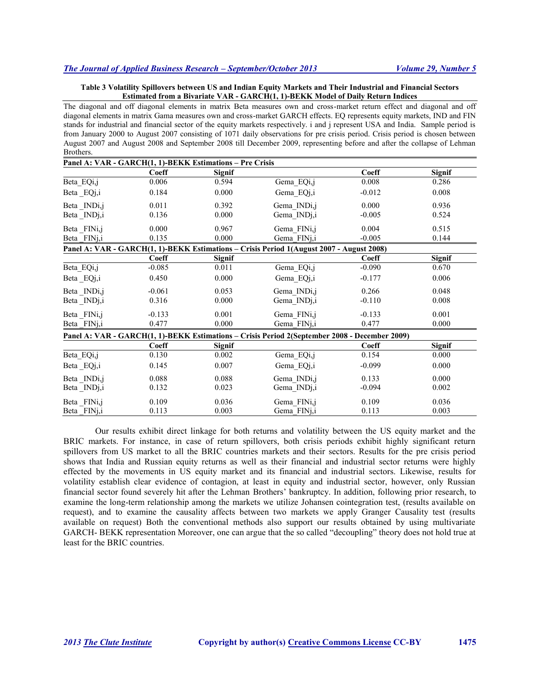### **Table 3 Volatility Spillovers between US and Indian Equity Markets and Their Industrial and Financial Sectors Estimated from a Bivariate VAR - GARCH(1, 1)-BEKK Model of Daily Return Indices**

The diagonal and off diagonal elements in matrix Beta measures own and cross-market return effect and diagonal and off diagonal elements in matrix Gama measures own and cross-market GARCH effects. EQ represents equity markets, IND and FIN stands for industrial and financial sector of the equity markets respectively. i and j represent USA and India. Sample period is from January 2000 to August 2007 consisting of 1071 daily observations for pre crisis period. Crisis period is chosen between August 2007 and August 2008 and September 2008 till December 2009, representing before and after the collapse of Lehman Brothers.

|                         | Panel A: VAR - GARCH(1, 1)-BEKK Estimations - Pre Crisis |               |                                                                                               |          |               |
|-------------------------|----------------------------------------------------------|---------------|-----------------------------------------------------------------------------------------------|----------|---------------|
|                         | Coeff                                                    | <b>Signif</b> |                                                                                               | Coeff    | <b>Signif</b> |
| Beta_EQi,j              | 0.006                                                    | 0.594         | Gema_EQi,j                                                                                    | 0.008    | 0.286         |
| Beta _EQj,i             | 0.184                                                    | 0.000         | Gema EQj,i                                                                                    | $-0.012$ | 0.008         |
| Beta INDi,j             | 0.011                                                    | 0.392         | Gema INDi,j                                                                                   | 0.000    | 0.936         |
| Beta INDj,i             | 0.136                                                    | 0.000         | Gema INDj,i                                                                                   | $-0.005$ | 0.524         |
| Beta FINi,j             | 0.000                                                    | 0.967         | Gema FINi,j                                                                                   | 0.004    | 0.515         |
| Beta FIN <sub>j,i</sub> | 0.135                                                    | 0.000         | Gema FINj,i                                                                                   | $-0.005$ | 0.144         |
|                         |                                                          |               | Panel A: VAR - GARCH(1, 1)-BEKK Estimations – Crisis Period 1(August 2007 - August 2008)      |          |               |
|                         | Coeff                                                    | <b>Signif</b> |                                                                                               | Coeff    | <b>Signif</b> |
| Beta EQi,j              | $-0.085$                                                 | 0.011         | Gema EQi,j                                                                                    | $-0.090$ | 0.670         |
| Beta _EQj,i             | 0.450                                                    | 0.000         | Gema EQj,i                                                                                    | $-0.177$ | 0.006         |
| Beta INDi,j             | $-0.061$                                                 | 0.053         | Gema INDi,j                                                                                   | 0.266    | 0.048         |
| Beta_INDj,i             | 0.316                                                    | 0.000         | Gema INDj,i                                                                                   | $-0.110$ | 0.008         |
| Beta FINi,j             | $-0.133$                                                 | 0.001         | Gema FINi,j                                                                                   | $-0.133$ | 0.001         |
| Beta FIN <sub>j,i</sub> | 0.477                                                    | 0.000         | Gema FINj,i                                                                                   | 0.477    | 0.000         |
|                         |                                                          |               | Panel A: VAR - GARCH(1, 1)-BEKK Estimations - Crisis Period 2(September 2008 - December 2009) |          |               |
|                         | Coeff                                                    | <b>Signif</b> |                                                                                               | Coeff    | <b>Signif</b> |
| Beta EQi,j              | 0.130                                                    | 0.002         | Gema EQi,j                                                                                    | 0.154    | 0.000         |
| Beta EQj,i              | 0.145                                                    | 0.007         | Gema EQj,i                                                                                    | $-0.099$ | 0.000         |
| Beta INDi,j             | 0.088                                                    | 0.088         | Gema INDi,j                                                                                   | 0.133    | 0.000         |
| Beta INDj,i             | 0.132                                                    | 0.023         | Gema INDj,i                                                                                   | $-0.094$ | 0.002         |
| Beta FINi,j             | 0.109                                                    | 0.036         | Gema FINi,j                                                                                   | 0.109    | 0.036         |
| Beta FINj,i             | 0.113                                                    | 0.003         | Gema FINj,i                                                                                   | 0.113    | 0.003         |

Our results exhibit direct linkage for both returns and volatility between the US equity market and the BRIC markets. For instance, in case of return spillovers, both crisis periods exhibit highly significant return spillovers from US market to all the BRIC countries markets and their sectors. Results for the pre crisis period shows that India and Russian equity returns as well as their financial and industrial sector returns were highly effected by the movements in US equity market and its financial and industrial sectors. Likewise, results for volatility establish clear evidence of contagion, at least in equity and industrial sector, however, only Russian financial sector found severely hit after the Lehman Brothers' bankruptcy. In addition, following prior research, to examine the long-term relationship among the markets we utilize Johansen cointegration test, (results available on request), and to examine the causality affects between two markets we apply Granger Causality test (results available on request) Both the conventional methods also support our results obtained by using multivariate GARCH- BEKK representation Moreover, one can argue that the so called "decoupling" theory does not hold true at least for the BRIC countries.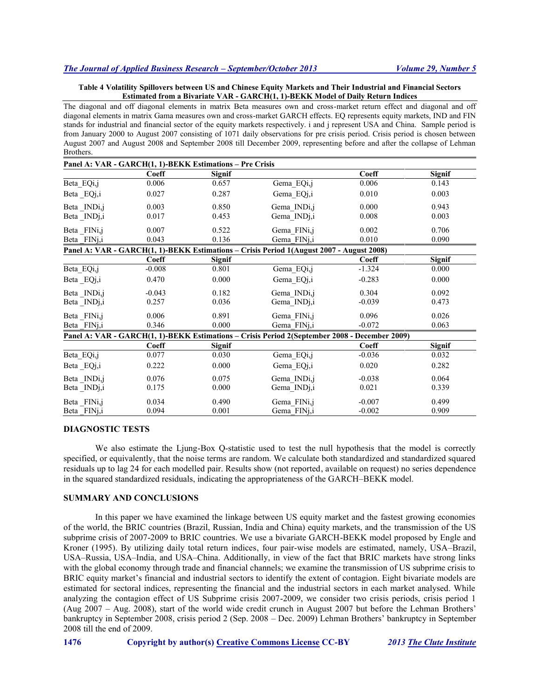### **Table 4 Volatility Spillovers between US and Chinese Equity Markets and Their Industrial and Financial Sectors Estimated from a Bivariate VAR - GARCH(1, 1)-BEKK Model of Daily Return Indices**

The diagonal and off diagonal elements in matrix Beta measures own and cross-market return effect and diagonal and off diagonal elements in matrix Gama measures own and cross-market GARCH effects. EQ represents equity markets, IND and FIN stands for industrial and financial sector of the equity markets respectively. i and j represent USA and China. Sample period is from January 2000 to August 2007 consisting of 1071 daily observations for pre crisis period. Crisis period is chosen between August 2007 and August 2008 and September 2008 till December 2009, representing before and after the collapse of Lehman Brothers.

|                         | Panel A: VAR - GARCH(1, 1)-BEKK Estimations - Pre Crisis |               |                                                                                               |          |               |
|-------------------------|----------------------------------------------------------|---------------|-----------------------------------------------------------------------------------------------|----------|---------------|
|                         | Coeff                                                    | <b>Signif</b> |                                                                                               | Coeff    | Signif        |
| Beta_EQi,j              | 0.006                                                    | 0.657         | Gema_EQi,j                                                                                    | 0.006    | 0.143         |
| Beta _EQj,i             | 0.027                                                    | 0.287         | Gema_EQj,i                                                                                    | 0.010    | 0.003         |
| Beta INDi,j             | 0.003                                                    | 0.850         | Gema INDi,j                                                                                   | 0.000    | 0.943         |
| Beta INDj,i             | 0.017                                                    | 0.453         | Gema INDj,i                                                                                   | 0.008    | 0.003         |
| Beta FINi,j             | 0.007                                                    | 0.522         | Gema FINi,j                                                                                   | 0.002    | 0.706         |
| Beta FIN <sub>j,i</sub> | 0.043                                                    | 0.136         | Gema FINj,i                                                                                   | 0.010    | 0.090         |
|                         |                                                          |               | Panel A: VAR - GARCH(1, 1)-BEKK Estimations - Crisis Period 1(August 2007 - August 2008)      |          |               |
|                         | Coeff                                                    | <b>Signif</b> |                                                                                               | Coeff    | <b>Signif</b> |
| Beta_EQi,j              | $-0.008$                                                 | 0.801         | Gema EQi,j                                                                                    | $-1.324$ | 0.000         |
| Beta _EQj,i             | 0.470                                                    | 0.000         | Gema_EQj,i                                                                                    | $-0.283$ | 0.000         |
| Beta INDi,j             | $-0.043$                                                 | 0.182         | Gema INDi,j                                                                                   | 0.304    | 0.092         |
| Beta INDj,i             | 0.257                                                    | 0.036         | Gema INDj,i                                                                                   | $-0.039$ | 0.473         |
| Beta FIN <sub>i,j</sub> | 0.006                                                    | 0.891         | Gema FINi,j                                                                                   | 0.096    | 0.026         |
| Beta FINj,i             | 0.346                                                    | 0.000         | Gema FINj,i                                                                                   | $-0.072$ | 0.063         |
|                         |                                                          |               | Panel A: VAR - GARCH(1, 1)-BEKK Estimations - Crisis Period 2(September 2008 - December 2009) |          |               |
|                         | Coeff                                                    | Signif        |                                                                                               | Coeff    | Signif        |
| Beta_EQi,j              | 0.077                                                    | 0.030         | Gema EQi,j                                                                                    | $-0.036$ | 0.032         |
| Beta _EQj,i             | 0.222                                                    | 0.000         | Gema EQj,i                                                                                    | 0.020    | 0.282         |
| Beta INDi,j             | 0.076                                                    | 0.075         | Gema INDi,j                                                                                   | $-0.038$ | 0.064         |
| Beta _INDj,i            | 0.175                                                    | 0.000         | Gema INDj,i                                                                                   | 0.021    | 0.339         |
| Beta FINi,j             | 0.034                                                    | 0.490         | Gema FINi,j                                                                                   | $-0.007$ | 0.499         |
| Beta FINj,i             | 0.094                                                    | 0.001         | Gema FINj,i                                                                                   | $-0.002$ | 0.909         |

## **DIAGNOSTIC TESTS**

We also estimate the Ljung-Box Q-statistic used to test the null hypothesis that the model is correctly specified, or equivalently, that the noise terms are random. We calculate both standardized and standardized squared residuals up to lag 24 for each modelled pair. Results show (not reported, available on request) no series dependence in the squared standardized residuals, indicating the appropriateness of the GARCH–BEKK model.

#### **SUMMARY AND CONCLUSIONS**

In this paper we have examined the linkage between US equity market and the fastest growing economies of the world, the BRIC countries (Brazil, Russian, India and China) equity markets, and the transmission of the US subprime crisis of 2007-2009 to BRIC countries. We use a bivariate GARCH-BEKK model proposed by Engle and Kroner (1995). By utilizing daily total return indices, four pair-wise models are estimated, namely, USA–Brazil, USA–Russia, USA–India, and USA–China. Additionally, in view of the fact that BRIC markets have strong links with the global economy through trade and financial channels; we examine the transmission of US subprime crisis to BRIC equity market's financial and industrial sectors to identify the extent of contagion. Eight bivariate models are estimated for sectoral indices, representing the financial and the industrial sectors in each market analysed. While analyzing the contagion effect of US Subprime crisis 2007-2009, we consider two crisis periods, crisis period 1 (Aug 2007 – Aug. 2008), start of the world wide credit crunch in August 2007 but before the Lehman Brothers' bankruptcy in September 2008, crisis period 2 (Sep. 2008 – Dec. 2009) Lehman Brothers' bankruptcy in September 2008 till the end of 2009.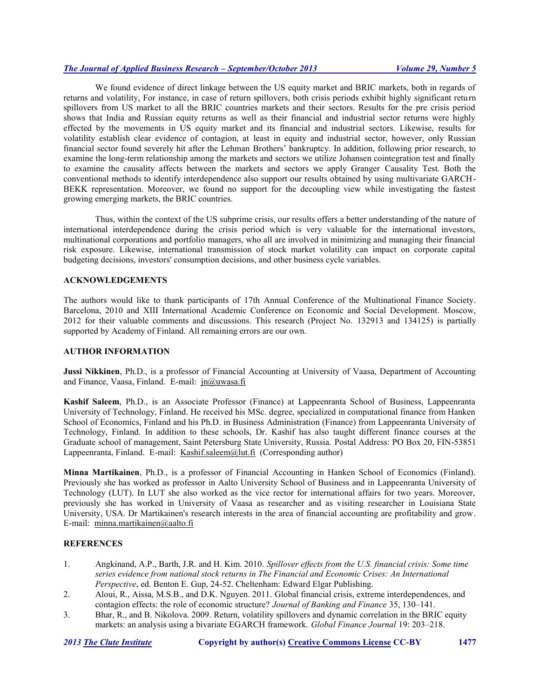We found evidence of direct linkage between the US equity market and BRIC markets, both in regards of returns and volatility, For instance, in case of return spillovers, both crisis periods exhibit highly significant return spillovers from US market to all the BRIC countries markets and their sectors. Results for the pre crisis period shows that India and Russian equity returns as well as their financial and industrial sector returns were highly effected by the movements in US equity market and its financial and industrial sectors. Likewise, results for volatility establish clear evidence of contagion, at least in equity and industrial sector, however, only Russian financial sector found severely hit after the Lehman Brothers' bankruptcy. In addition, following prior research, to examine the long-term relationship among the markets and sectors we utilize Johansen cointegration test and finally to examine the causality affects between the markets and sectors we apply Granger Causality Test. Both the conventional methods to identify interdependence also support our results obtained by using multivariate GARCH-BEKK representation. Moreover, we found no support for the decoupling view while investigating the fastest growing emerging markets, the BRIC countries.

Thus, within the context of the US subprime crisis, our results offers a better understanding of the nature of international interdependence during the crisis period which is very valuable for the international investors, multinational corporations and portfolio managers, who all are involved in minimizing and managing their financial risk exposure. Likewise, international transmission of stock market volatility can impact on corporate capital budgeting decisions, investors' consumption decisions, and other business cycle variables.

# **ACKNOWLEDGEMENTS**

The authors would like to thank participants of 17th Annual Conference of the Multinational Finance Society. Barcelona, 2010 and XIII International Academic Conference on Economic and Social Development. Moscow, 2012 for their valuable comments and discussions. This research (Project No. 132913 and 134125) is partially supported by Academy of Finland. All remaining errors are our own.

#### **AUTHOR INFORMATION**

**Jussi Nikkinen**, Ph.D., is a professor of Financial Accounting at University of Vaasa, Department of Accounting and Finance, Vaasa, Finland. E-mail: jn@uwasa.fi

**Kashif Saleem**, Ph.D., is an Associate Professor (Finance) at Lappeenranta School of Business, Lappeenranta University of Technology, Finland. He received his MSc. degree, specialized in computational finance from Hanken School of Economics, Finland and his Ph.D. in Business Administration (Finance) from Lappeenranta University of Technology, Finland. In addition to these schools, Dr. Kashif has also taught different finance courses at the Graduate school of management, Saint Petersburg State University, Russia. Postal Address: PO Box 20, FIN-53851 Lappeenranta, Finland. E-mail: Kashif.saleem@lut.fi (Corresponding author)

**Minna Martikainen**, Ph.D., is a professor of Financial Accounting in Hanken School of Economics (Finland). Previously she has worked as professor in Aalto University School of Business and in Lappeenranta University of Technology (LUT). In LUT she also worked as the vice rector for international affairs for two years. Moreover, previously she has worked in University of Vaasa as researcher and as visiting researcher in Louisiana State University, USA. Dr Martikainen's research interests in the area of financial accounting are profitability and grow. E-mail: minna.martikainen@aalto.fi

# **REFERENCES**

- 1. Angkinand, A.P., Barth, J.R. and H. Kim. 2010. *Spillover effects from the U.S. financial crisis: Some time series evidence from national stock returns in The Financial and Economic Crises: An International Perspective*, ed. Benton E. Gup, 24-52. Cheltenham: Edward Elgar Publishing.
- 2. Aloui, R., Aissa, M.S.B., and D.K. Nguyen. 2011. Global financial crisis, extreme interdependences, and contagion effects: the role of economic structure? *Journal of Banking and Finance* 35, 130–141.
- 3. Bhar, R., and B. Nikolova. 2009. Return, volatility spillovers and dynamic correlation in the BRIC equity markets: an analysis using a bivariate EGARCH framework. *Global Finance Journal* 19: 203–218.